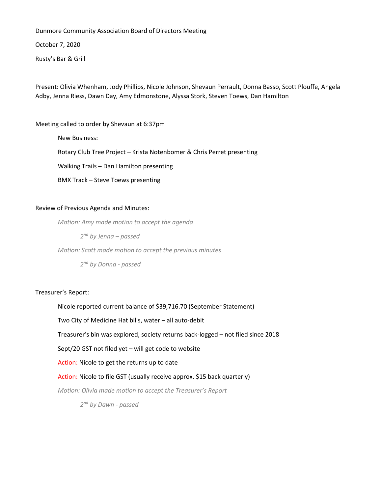Dunmore Community Association Board of Directors Meeting

October 7, 2020

Rusty's Bar & Grill

Present: Olivia Whenham, Jody Phillips, Nicole Johnson, Shevaun Perrault, Donna Basso, Scott Plouffe, Angela Adby, Jenna Riess, Dawn Day, Amy Edmonstone, Alyssa Stork, Steven Toews, Dan Hamilton

Meeting called to order by Shevaun at 6:37pm

New Business: Rotary Club Tree Project – Krista Notenbomer & Chris Perret presenting Walking Trails – Dan Hamilton presenting BMX Track – Steve Toews presenting

# Review of Previous Agenda and Minutes:

*Motion: Amy made motion to accept the agenda*

*2 nd by Jenna – passed*

*Motion: Scott made motion to accept the previous minutes*

*2 nd by Donna - passed*

Treasurer's Report:

Nicole reported current balance of \$39,716.70 (September Statement)

Two City of Medicine Hat bills, water – all auto-debit

Treasurer's bin was explored, society returns back-logged – not filed since 2018

Sept/20 GST not filed yet – will get code to website

Action: Nicole to get the returns up to date

Action: Nicole to file GST (usually receive approx. \$15 back quarterly)

*Motion: Olivia made motion to accept the Treasurer's Report*

*2 nd by Dawn - passed*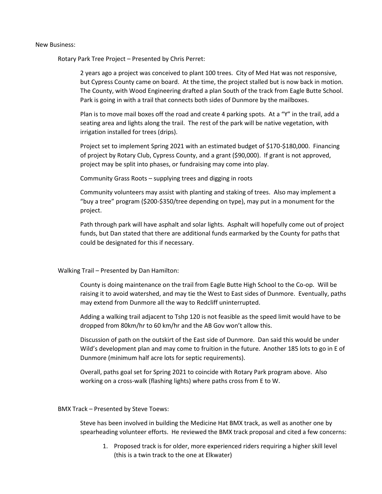#### New Business:

Rotary Park Tree Project – Presented by Chris Perret:

2 years ago a project was conceived to plant 100 trees. City of Med Hat was not responsive, but Cypress County came on board. At the time, the project stalled but is now back in motion. The County, with Wood Engineering drafted a plan South of the track from Eagle Butte School. Park is going in with a trail that connects both sides of Dunmore by the mailboxes.

Plan is to move mail boxes off the road and create 4 parking spots. At a "Y" in the trail, add a seating area and lights along the trail. The rest of the park will be native vegetation, with irrigation installed for trees (drips).

Project set to implement Spring 2021 with an estimated budget of \$170-\$180,000. Financing of project by Rotary Club, Cypress County, and a grant (\$90,000). If grant is not approved, project may be split into phases, or fundraising may come into play.

Community Grass Roots – supplying trees and digging in roots

Community volunteers may assist with planting and staking of trees. Also may implement a "buy a tree" program (\$200-\$350/tree depending on type), may put in a monument for the project.

Path through park will have asphalt and solar lights. Asphalt will hopefully come out of project funds, but Dan stated that there are additional funds earmarked by the County for paths that could be designated for this if necessary.

#### Walking Trail – Presented by Dan Hamilton:

County is doing maintenance on the trail from Eagle Butte High School to the Co-op. Will be raising it to avoid watershed, and may tie the West to East sides of Dunmore. Eventually, paths may extend from Dunmore all the way to Redcliff uninterrupted.

Adding a walking trail adjacent to Tshp 120 is not feasible as the speed limit would have to be dropped from 80km/hr to 60 km/hr and the AB Gov won't allow this.

Discussion of path on the outskirt of the East side of Dunmore. Dan said this would be under Wild's development plan and may come to fruition in the future. Another 185 lots to go in E of Dunmore (minimum half acre lots for septic requirements).

Overall, paths goal set for Spring 2021 to coincide with Rotary Park program above. Also working on a cross-walk (flashing lights) where paths cross from E to W.

BMX Track – Presented by Steve Toews:

Steve has been involved in building the Medicine Hat BMX track, as well as another one by spearheading volunteer efforts. He reviewed the BMX track proposal and cited a few concerns:

1. Proposed track is for older, more experienced riders requiring a higher skill level (this is a twin track to the one at Elkwater)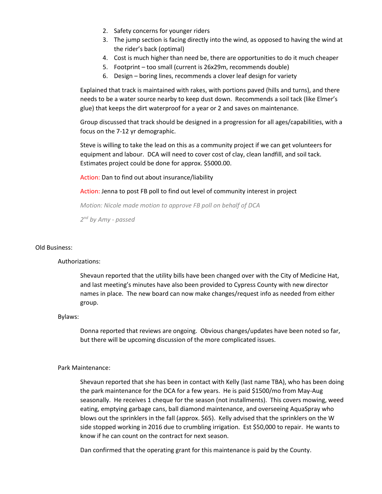- 2. Safety concerns for younger riders
- 3. The jump section is facing directly into the wind, as opposed to having the wind at the rider's back (optimal)
- 4. Cost is much higher than need be, there are opportunities to do it much cheaper
- 5. Footprint too small (current is 26x29m, recommends double)
- 6. Design boring lines, recommends a clover leaf design for variety

Explained that track is maintained with rakes, with portions paved (hills and turns), and there needs to be a water source nearby to keep dust down. Recommends a soil tack (like Elmer's glue) that keeps the dirt waterproof for a year or 2 and saves on maintenance.

Group discussed that track should be designed in a progression for all ages/capabilities, with a focus on the 7-12 yr demographic.

Steve is willing to take the lead on this as a community project if we can get volunteers for equipment and labour. DCA will need to cover cost of clay, clean landfill, and soil tack. Estimates project could be done for approx. \$5000.00.

Action: Dan to find out about insurance/liability

Action: Jenna to post FB poll to find out level of community interest in project

*Motion: Nicole made motion to approve FB poll on behalf of DCA*

*2 nd by Amy - passed*

### Old Business:

#### Authorizations:

Shevaun reported that the utility bills have been changed over with the City of Medicine Hat, and last meeting's minutes have also been provided to Cypress County with new director names in place. The new board can now make changes/request info as needed from either group.

#### Bylaws:

Donna reported that reviews are ongoing. Obvious changes/updates have been noted so far, but there will be upcoming discussion of the more complicated issues.

#### Park Maintenance:

Shevaun reported that she has been in contact with Kelly (last name TBA), who has been doing the park maintenance for the DCA for a few years. He is paid \$1500/mo from May-Aug seasonally. He receives 1 cheque for the season (not installments). This covers mowing, weed eating, emptying garbage cans, ball diamond maintenance, and overseeing AquaSpray who blows out the sprinklers in the fall (approx. \$65). Kelly advised that the sprinklers on the W side stopped working in 2016 due to crumbling irrigation. Est \$50,000 to repair. He wants to know if he can count on the contract for next season.

Dan confirmed that the operating grant for this maintenance is paid by the County.